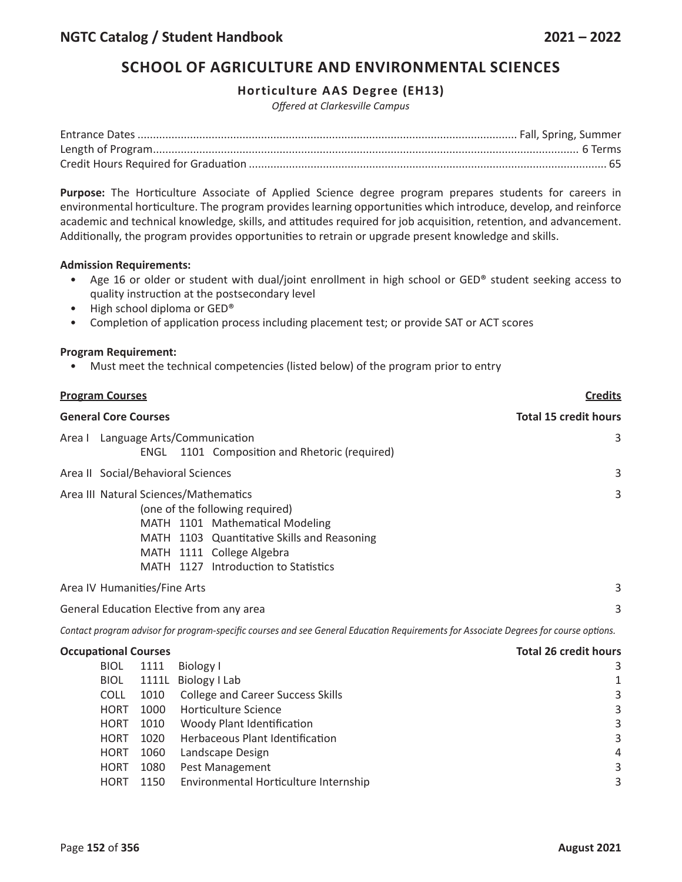### **Horticulture AAS Degree (EH13)**

*Offered at Clarkesville Campus*

**Purpose:** The Horticulture Associate of Applied Science degree program prepares students for careers in environmental horticulture. The program provides learning opportunities which introduce, develop, and reinforce academic and technical knowledge, skills, and attitudes required for job acquisition, retention, and advancement. Additionally, the program provides opportunities to retrain or upgrade present knowledge and skills.

#### **Admission Requirements:**

- Age 16 or older or student with dual/joint enrollment in high school or GED® student seeking access to quality instruction at the postsecondary level
- High school diploma or GED<sup>®</sup>
- Completion of application process including placement test; or provide SAT or ACT scores

#### **Program Requirement:**

• Must meet the technical competencies (listed below) of the program prior to entry

| <b>Program Courses</b>                                                                                                                                                                                                          | <b>Credits</b>               |  |
|---------------------------------------------------------------------------------------------------------------------------------------------------------------------------------------------------------------------------------|------------------------------|--|
| <b>General Core Courses</b>                                                                                                                                                                                                     | <b>Total 15 credit hours</b> |  |
| Area I Language Arts/Communication<br>ENGL 1101 Composition and Rhetoric (required)                                                                                                                                             | 3                            |  |
| Area II Social/Behavioral Sciences                                                                                                                                                                                              | 3                            |  |
| Area III Natural Sciences/Mathematics<br>(one of the following required)<br>MATH 1101 Mathematical Modeling<br>MATH 1103 Quantitative Skills and Reasoning<br>MATH 1111 College Algebra<br>MATH 1127 Introduction to Statistics | 3                            |  |
| Area IV Humanities/Fine Arts                                                                                                                                                                                                    | 3                            |  |
| General Education Elective from any area                                                                                                                                                                                        | 3                            |  |

Contact program advisor for program-specific courses and see General Education Requirements for Associate Degrees for course options.

### **Occupational Courses Total 26 credit hours**

| <b>BIOL</b> | 1111 | Biology I                                | 3 |
|-------------|------|------------------------------------------|---|
| <b>BIOL</b> |      | 1111L Biology   Lab                      | 1 |
| <b>COLL</b> | 1010 | <b>College and Career Success Skills</b> | 3 |
| <b>HORT</b> | 1000 | Horticulture Science                     | 3 |
| <b>HORT</b> | 1010 | Woody Plant Identification               | 3 |
| <b>HORT</b> | 1020 | Herbaceous Plant Identification          | 3 |
| <b>HORT</b> | 1060 | Landscape Design                         | 4 |
| <b>HORT</b> | 1080 | Pest Management                          | 3 |
| <b>HORT</b> | 1150 | Environmental Horticulture Internship    | 3 |
|             |      |                                          |   |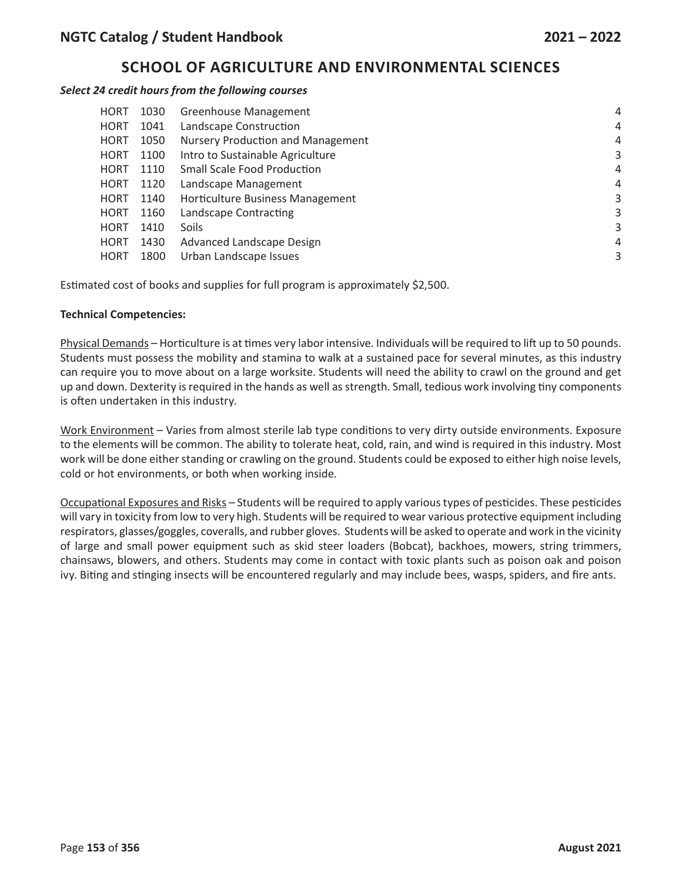#### *Select 24 credit hours from the following courses*

| <b>HORT</b> | 1030 | <b>Greenhouse Management</b>             | 4 |
|-------------|------|------------------------------------------|---|
| <b>HORT</b> | 1041 | Landscape Construction                   | 4 |
| <b>HORT</b> | 1050 | <b>Nursery Production and Management</b> | 4 |
| <b>HORT</b> | 1100 | Intro to Sustainable Agriculture         | 3 |
| <b>HORT</b> | 1110 | <b>Small Scale Food Production</b>       | 4 |
| <b>HORT</b> | 1120 | Landscape Management                     | 4 |
| <b>HORT</b> | 1140 | Horticulture Business Management         | 3 |
| <b>HORT</b> | 1160 | Landscape Contracting                    | 3 |
| <b>HORT</b> | 1410 | Soils                                    | 3 |
| <b>HORT</b> | 1430 | Advanced Landscape Design                | 4 |
| <b>HORT</b> | 1800 | Urban Landscape Issues                   | 3 |
|             |      |                                          |   |

Estimated cost of books and supplies for full program is approximately \$2,500.

### **Technical Competencies:**

Physical Demands – Horticulture is at times very labor intensive. Individuals will be required to lift up to 50 pounds. Students must possess the mobility and stamina to walk at a sustained pace for several minutes, as this industry can require you to move about on a large worksite. Students will need the ability to crawl on the ground and get up and down. Dexterity is required in the hands as well as strength. Small, tedious work involving tiny components is often undertaken in this industry.

Work Environment – Varies from almost sterile lab type conditions to very dirty outside environments. Exposure to the elements will be common. The ability to tolerate heat, cold, rain, and wind is required in this industry. Most work will be done either standing or crawling on the ground. Students could be exposed to either high noise levels, cold or hot environments, or both when working inside.

Occupational Exposures and Risks – Students will be required to apply various types of pesticides. These pesticides will vary in toxicity from low to very high. Students will be required to wear various protective equipment including respirators, glasses/goggles, coveralls, and rubber gloves. Students will be asked to operate and work in the vicinity of large and small power equipment such as skid steer loaders (Bobcat), backhoes, mowers, string trimmers, chainsaws, blowers, and others. Students may come in contact with toxic plants such as poison oak and poison ivy. Biting and stinging insects will be encountered regularly and may include bees, wasps, spiders, and fire ants.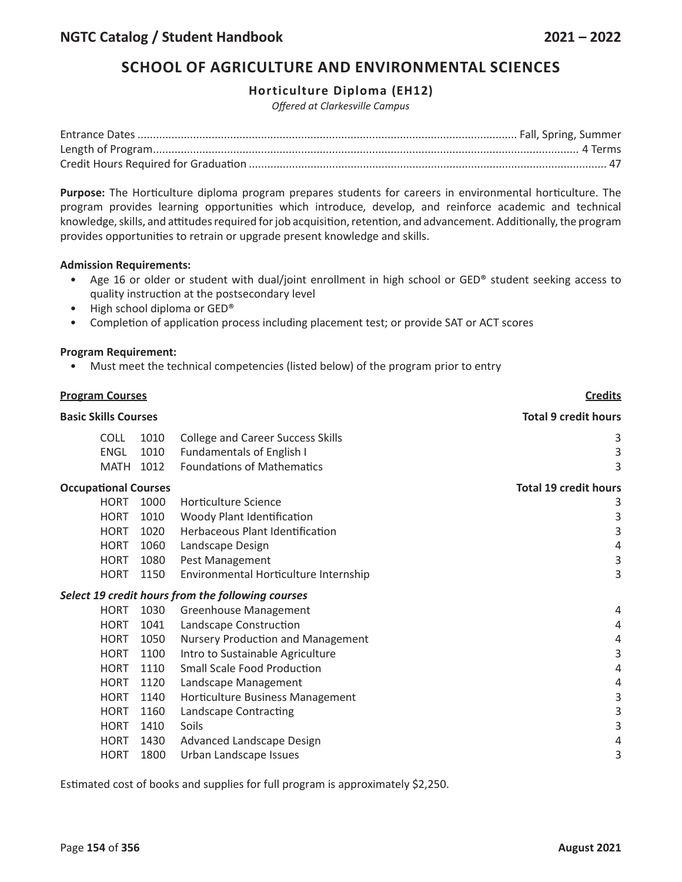### **Horticulture Diploma (EH12)**

*Offered at Clarkesville Campus*

**Purpose:** The Horticulture diploma program prepares students for careers in environmental horticulture. The program provides learning opportunities which introduce, develop, and reinforce academic and technical knowledge, skills, and attitudes required for job acquisition, retention, and advancement. Additionally, the program provides opportunities to retrain or upgrade present knowledge and skills.

#### **Admission Requirements:**

- Age 16 or older or student with dual/joint enrollment in high school or GED® student seeking access to quality instruction at the postsecondary level
- High school diploma or GED<sup>®</sup>
- Completion of application process including placement test; or provide SAT or ACT scores

#### **Program Requirement:**

• Must meet the technical competencies (listed below) of the program prior to entry

| <b>Program Courses</b><br><b>Basic Skills Courses</b> |                             |      | <b>Credits</b>                                    |                              |
|-------------------------------------------------------|-----------------------------|------|---------------------------------------------------|------------------------------|
|                                                       |                             |      |                                                   | <b>Total 9 credit hours</b>  |
|                                                       | <b>COLL</b>                 | 1010 | <b>College and Career Success Skills</b>          | 3                            |
|                                                       | <b>ENGL</b>                 | 1010 | <b>Fundamentals of English I</b>                  | 3                            |
|                                                       | <b>MATH</b>                 | 1012 | <b>Foundations of Mathematics</b>                 | 3                            |
|                                                       | <b>Occupational Courses</b> |      |                                                   | <b>Total 19 credit hours</b> |
|                                                       | <b>HORT</b>                 | 1000 | Horticulture Science                              | 3                            |
|                                                       | <b>HORT</b>                 | 1010 | Woody Plant Identification                        | 3                            |
|                                                       | <b>HORT</b>                 | 1020 | Herbaceous Plant Identification                   | 3                            |
|                                                       | <b>HORT</b>                 | 1060 | Landscape Design                                  | 4                            |
|                                                       | <b>HORT</b>                 | 1080 | Pest Management                                   | 3                            |
|                                                       | <b>HORT</b>                 | 1150 | Environmental Horticulture Internship             | 3                            |
|                                                       |                             |      | Select 19 credit hours from the following courses |                              |
|                                                       | <b>HORT</b>                 | 1030 | <b>Greenhouse Management</b>                      | 4                            |
|                                                       | <b>HORT</b>                 | 1041 | Landscape Construction                            | 4                            |
|                                                       | <b>HORT</b>                 | 1050 | Nursery Production and Management                 | 4                            |
|                                                       | <b>HORT</b>                 | 1100 | Intro to Sustainable Agriculture                  | 3                            |
|                                                       | <b>HORT</b>                 | 1110 | <b>Small Scale Food Production</b>                | 4                            |
|                                                       | <b>HORT</b>                 | 1120 | Landscape Management                              | 4                            |
|                                                       | <b>HORT</b>                 | 1140 | Horticulture Business Management                  | 3                            |
|                                                       | <b>HORT</b>                 | 1160 | Landscape Contracting                             | 3                            |
|                                                       | <b>HORT</b>                 | 1410 | Soils                                             | 3                            |
|                                                       | <b>HORT</b>                 | 1430 | Advanced Landscape Design                         | 4                            |
|                                                       | <b>HORT</b>                 | 1800 | Urban Landscape Issues                            | 3                            |
|                                                       |                             |      |                                                   |                              |

Estimated cost of books and supplies for full program is approximately \$2,250.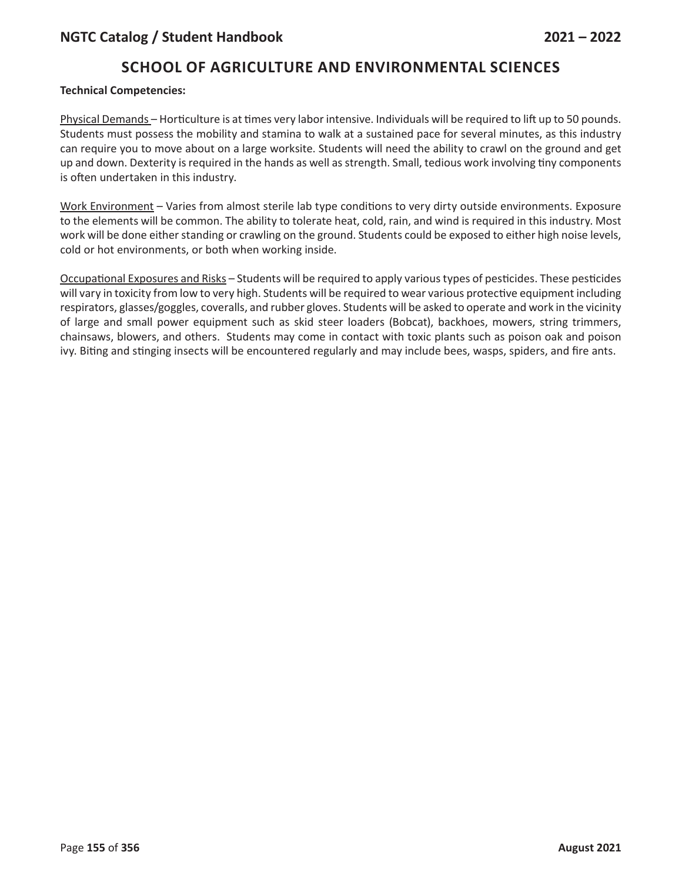### **Technical Competencies:**

Physical Demands – Horticulture is at times very labor intensive. Individuals will be required to lift up to 50 pounds. Students must possess the mobility and stamina to walk at a sustained pace for several minutes, as this industry can require you to move about on a large worksite. Students will need the ability to crawl on the ground and get up and down. Dexterity is required in the hands as well as strength. Small, tedious work involving tiny components is often undertaken in this industry.

Work Environment – Varies from almost sterile lab type conditions to very dirty outside environments. Exposure to the elements will be common. The ability to tolerate heat, cold, rain, and wind is required in this industry. Most work will be done either standing or crawling on the ground. Students could be exposed to either high noise levels, cold or hot environments, or both when working inside.

Occupational Exposures and Risks – Students will be required to apply various types of pesticides. These pesticides will vary in toxicity from low to very high. Students will be required to wear various protective equipment including respirators, glasses/goggles, coveralls, and rubber gloves. Students will be asked to operate and work in the vicinity of large and small power equipment such as skid steer loaders (Bobcat), backhoes, mowers, string trimmers, chainsaws, blowers, and others. Students may come in contact with toxic plants such as poison oak and poison ivy. Biting and stinging insects will be encountered regularly and may include bees, wasps, spiders, and fire ants.